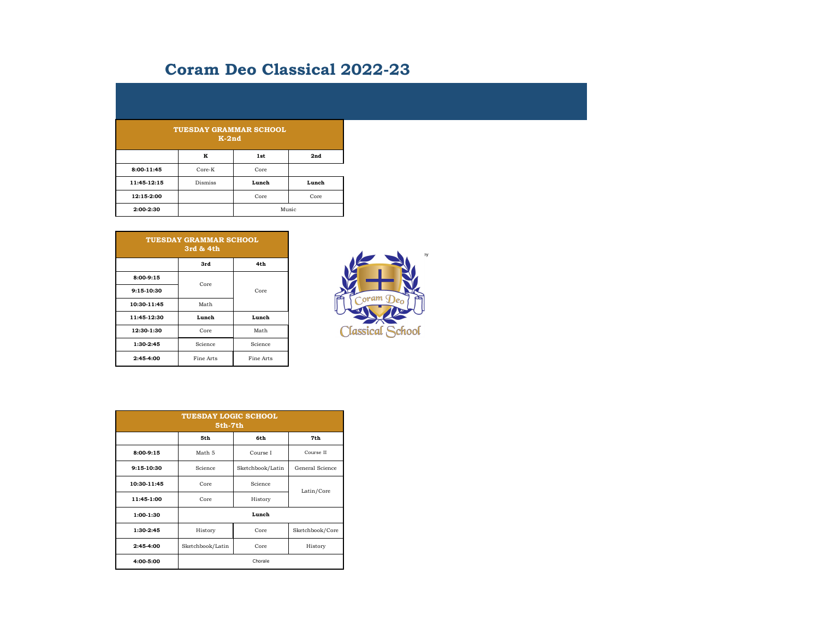## **Coram Deo Classical 2022-23**

| <b>TUESDAY GRAMMAR SCHOOL</b><br>$K-2nd$ |                |       |       |  |
|------------------------------------------|----------------|-------|-------|--|
|                                          | K              | 1st   | 2nd   |  |
| 8:00-11:45                               | $Core-K$       | Core  |       |  |
| 11:45-12:15                              | <b>Dismiss</b> | Lunch | Lunch |  |
| 12:15-2:00                               |                | Core  | Core  |  |
| 2:00-2:30                                |                | Music |       |  |

| <b>TUESDAY GRAMMAR SCHOOL</b><br>3rd & 4th |                    |           |  |  |
|--------------------------------------------|--------------------|-----------|--|--|
|                                            | 3rd                | 4th       |  |  |
| $8:00-9:15$                                | Core               | Core      |  |  |
| 9:15-10:30                                 |                    |           |  |  |
| 10:30-11:45                                | Math               |           |  |  |
| 11:45-12:30                                | Lunch              | Lunch     |  |  |
| 12:30-1:30                                 | Core               | Math      |  |  |
| 1:30-2:45                                  | Science<br>Science |           |  |  |
| 2:45-4:00                                  | Fine Arts          | Fine Arts |  |  |



| <b>TUESDAY LOGIC SCHOOL</b><br>5th-7th |                             |          |                 |  |
|----------------------------------------|-----------------------------|----------|-----------------|--|
|                                        | 5th                         | 6th      | 7th             |  |
| 8:00-9:15                              | Math 5                      | Course I | Course II       |  |
| 9:15-10:30                             | Science<br>Sketchbook/Latin |          | General Science |  |
| 10:30-11:45                            | Core                        | Science  | Latin/Core      |  |
| 11:45-1:00                             | Core                        | History  |                 |  |
| 1:00-1:30                              | Lunch                       |          |                 |  |
| 1:30-2:45                              | History                     | Core     | Sketchbook/Core |  |
| $2:45-4:00$                            | Sketchbook/Latin            | Core     | History         |  |
| 4:00-5:00                              | Chorale                     |          |                 |  |